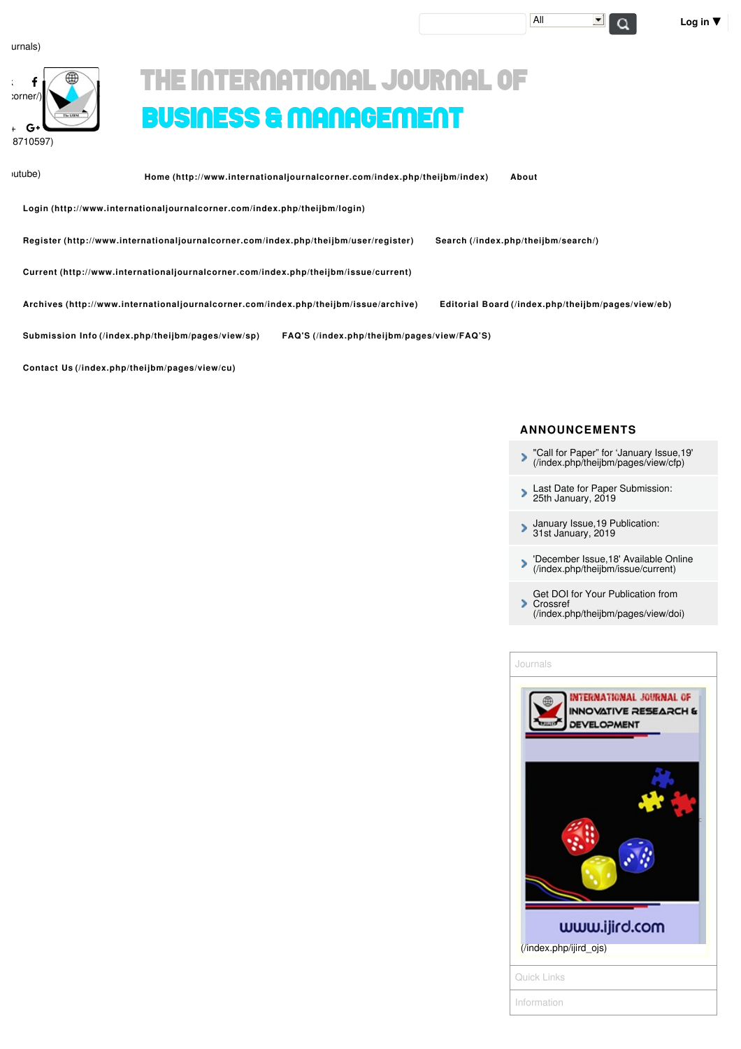| :orner/)<br><b>The LAWAY</b><br>$G+$ |  |
|--------------------------------------|--|
|                                      |  |
| 8710597)                             |  |

# THE INTERNATIONAL JOURNAL OF BUSINESS & MANAGEMENT

 $utube)$ 

**Home [\(http://www.internationaljournalcorner.com/index.php/theijbm/index\)](http://www.internationaljournalcorner.com/index.php/theijbm/index) [About](http://www.internationaljournalcorner.com/index.php/theijbm/article/view/131346#)**

**Login [\(http://www.internationaljournalcorner.com/index.php/theijbm/login\)](http://www.internationaljournalcorner.com/index.php/theijbm/login)**

**Register [\(http://www.internationaljournalcorner.com/index.php/theijbm/user/register\)](http://www.internationaljournalcorner.com/index.php/theijbm/user/register) Search [\(/index.php/theijbm/search/\)](http://www.internationaljournalcorner.com/index.php/theijbm/search/)**

**Current [\(http://www.internationaljournalcorner.com/index.php/theijbm/issue/current\)](http://www.internationaljournalcorner.com/index.php/theijbm/issue/current)**

**Archives [\(http://www.internationaljournalcorner.com/index.php/theijbm/issue/archive\)](http://www.internationaljournalcorner.com/index.php/theijbm/issue/archive) Editorial Board [\(/index.php/theijbm/pages/view/eb\)](http://www.internationaljournalcorner.com/index.php/theijbm/pages/view/eb)**

**Submission Info [\(/index.php/theijbm/pages/view/sp\)](http://www.internationaljournalcorner.com/index.php/theijbm/pages/view/sp) FAQ'S [\(/index.php/theijbm/pages/view/FAQ'S\)](http://www.internationaljournalcorner.com/index.php/theijbm/pages/view/FAQ%E2%80%99S)**

**Contact Us [\(/index.php/theijbm/pages/view/cu\)](http://www.internationaljournalcorner.com/index.php/theijbm/pages/view/cu)**

#### **ANNOUNCEMENTS**

- "Call for Paper" for 'January Issue,19' [\(/index.php/theijbm/pages/view/cfp\)](http://www.internationaljournalcorner.com/index.php/theijbm/pages/view/cfp)  $\mathbf{z}$
- Last Date for Paper [Submission:](http://www.internationaljournalcorner.com/index.php/theijbm/article/view/131346#) 25th January, 2019
- January Issue,19 [Publication:](http://www.internationaljournalcorner.com/index.php/theijbm/article/view/131346#) 31st January, 2019  $\mathbf{\hat{}}$
- 'December Issue,18' Available Online [\(/index.php/theijbm/issue/current\)](http://www.internationaljournalcorner.com/index.php/theijbm/issue/current)
- Get DOI for Your Publication from **Crossref** 
	- [\(/index.php/theijbm/pages/view/doi\)](http://www.internationaljournalcorner.com/index.php/theijbm/pages/view/doi)

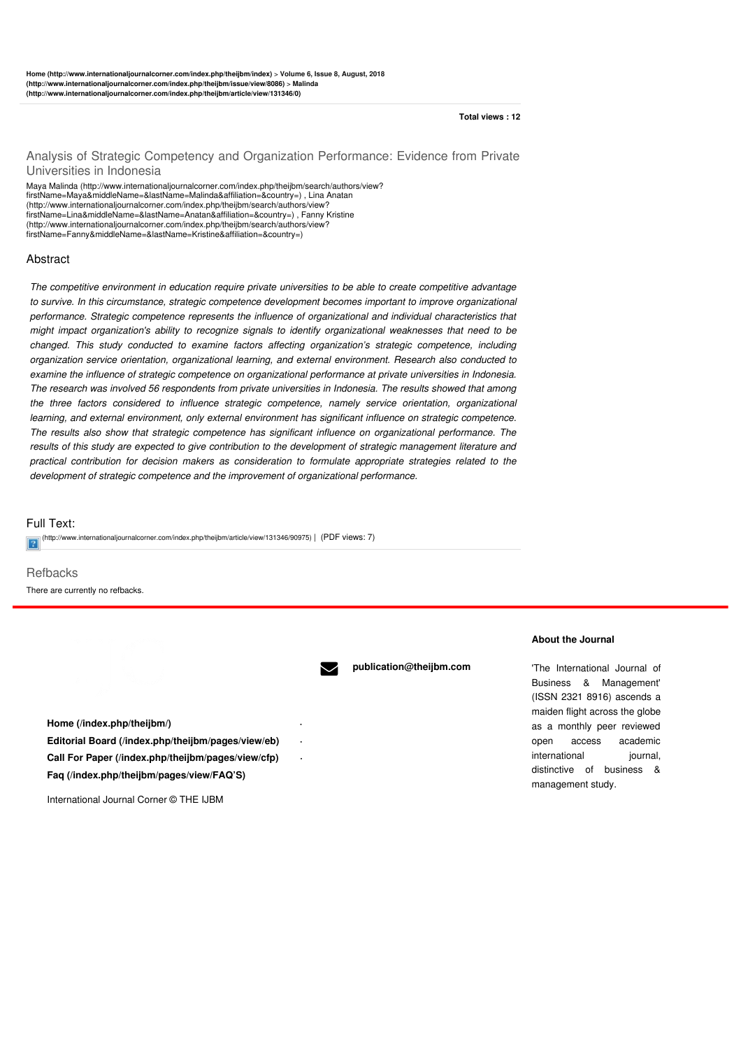#### **Total views : 12**

#### Analysis of Strategic Competency and Organization Performance: Evidence from Private Universities in Indonesia

Maya Malinda [\(http://www.internationaljournalcorner.com/index.php/theijbm/search/authors/view?](http://www.internationaljournalcorner.com/index.php/theijbm/search/authors/view?firstName=Maya&middleName=&lastName=Malinda&affiliation=&country=) firstName=Maya&middleName=&lastName=Malinda&affiliation=&country=) , Lina Anatan [\(http://www.internationaljournalcorner.com/index.php/theijbm/search/authors/view?](http://www.internationaljournalcorner.com/index.php/theijbm/search/authors/view?firstName=Lina&middleName=&lastName=Anatan&affiliation=&country=) firstName=Lina&middleName=&lastName=Anatan&affiliation=&country=) , Fanny Kristine [\(http://www.internationaljournalcorner.com/index.php/theijbm/search/authors/view?](http://www.internationaljournalcorner.com/index.php/theijbm/search/authors/view?firstName=Fanny&middleName=&lastName=Kristine&affiliation=&country=) firstName=Fanny&middleName=&lastName=Kristine&affiliation=&country=)

#### Abstract

*The competitive environment in education require private universities to be able to create competitive advantage to survive. In this circumstance, strategic competence development becomes important to improve organizational performance. Strategic competence represents the influence of organizational and individual characteristics that might impact organization's ability to recognize signals to identify organizational weaknesses that need to be changed. This study conducted to examine factors affecting organization's strategic competence, including organization service orientation, organizational learning, and external environment. Research also conducted to examine the influence of strategic competence on organizational performance at private universities in Indonesia. The research was involved 56 respondents from private universities in Indonesia. The results showed that among the three factors considered to influence strategic competence, namely service orientation, organizational learning, and external environment, only external environment has significant influence on strategic competence. The results also show that strategic competence has significant influence on organizational performance. The* results of this study are expected to give contribution to the development of strategic management literature and *practical contribution for decision makers as consideration to formulate appropriate strategies related to the development of strategic competence and the improvement of organizational performance.*

#### Full Text:

[\(http://www.internationaljournalcorner.com/index.php/theijbm/article/view/131346/90975\)](http://www.internationaljournalcorner.com/index.php/theijbm/article/view/131346/90975) | (PDF views: 7)

**Refbacks** There are currently no refbacks.



**Home [\(/index.php/theijbm/\)](http://www.internationaljournalcorner.com/index.php/theijbm/) ·**

**publication@theijbm.com**

#### **About the Journal**

'The International Journal of Business & Management' (ISSN 2321 8916) ascends a maiden flight across the globe as a monthly peer reviewed open access academic international iournal, distinctive of business & management study.

International Journal Corner © THE IJBM

**Faq [\(/index.php/theijbm/pages/view/FAQ'S\)](http://www.internationaljournalcorner.com/index.php/theijbm/pages/view/FAQ%E2%80%99S)**

**Editorial Board [\(/index.php/theijbm/pages/view/eb\)](http://www.internationaljournalcorner.com/index.php/theijbm/pages/view/eb) · Call For Paper [\(/index.php/theijbm/pages/view/cfp\)](http://www.internationaljournalcorner.com/index.php/theijbm/pages/view/cfp) ·**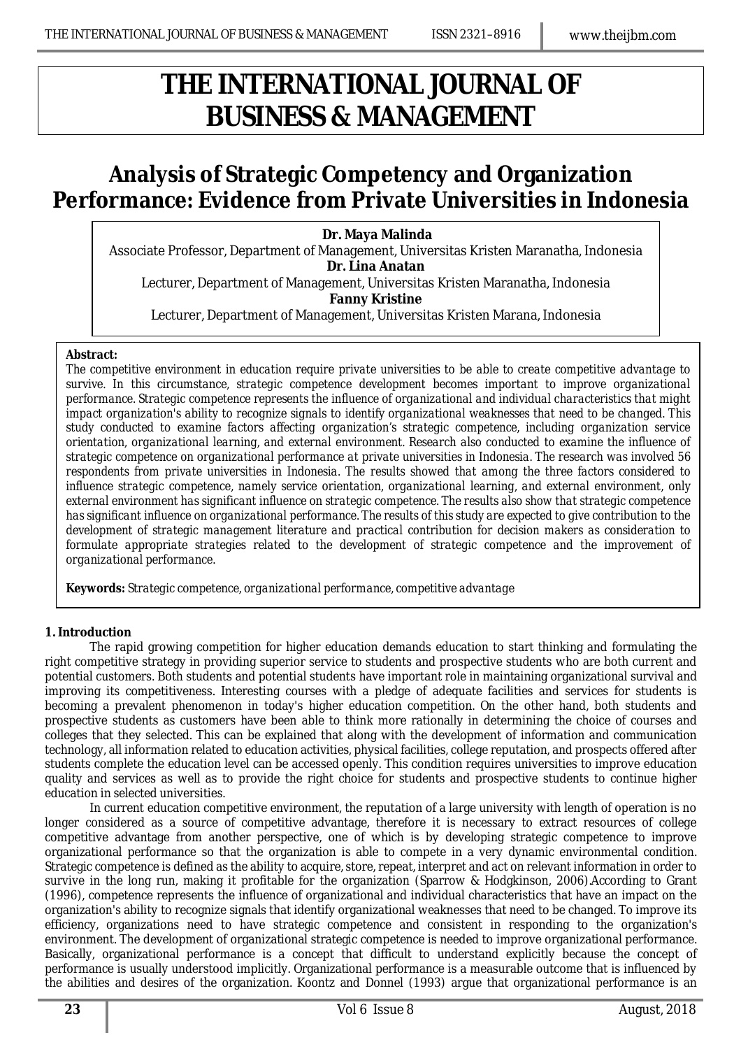## *THE INTERNATIONAL JOURNAL OF BUSINESS & MANAGEMENT*

## **Analysis of Strategic Competency and Organization Performance: Evidence from Private Universities in Indonesia**

## **Dr. Maya Malinda**

Associate Professor, Department of Management, Universitas Kristen Maranatha, Indonesia **Dr. Lina Anatan**

Lecturer, Department of Management, Universitas Kristen Maranatha, Indonesia **Fanny Kristine**

Lecturer, Department of Management, Universitas Kristen Marana, Indonesia

#### *Abstract:*

*The competitive environment in education require private universities to be able to create competitive advantage to survive. In this circumstance, strategic competence development becomes important to improve organizational performance. Strategic competence represents the influence of organizational and individual characteristics that might impact organization's ability to recognize signals to identify organizational weaknesses that need to be changed. This study conducted to examine factors affecting organization's strategic competence, including organization service orientation, organizational learning, and external environment. Research also conducted to examine the influence of strategic competence on organizational performance at private universities in Indonesia. The research was involved 56 respondents from private universities in Indonesia. The results showed that among the three factors considered to influence strategic competence, namely service orientation, organizational learning, and external environment, only external environment has significant influence on strategic competence. The results also show that strategic competence has significant influence on organizational performance. The results of this study are expected to give contribution to the development of strategic management literature and practical contribution for decision makers as consideration to formulate appropriate strategies related to the development of strategic competence and the improvement of organizational performance.* 

*Keywords: Strategic competence, organizational performance, competitive advantage*

### **1. Introduction**

The rapid growing competition for higher education demands education to start thinking and formulating the right competitive strategy in providing superior service to students and prospective students who are both current and potential customers. Both students and potential students have important role in maintaining organizational survival and improving its competitiveness. Interesting courses with a pledge of adequate facilities and services for students is becoming a prevalent phenomenon in today's higher education competition. On the other hand, both students and prospective students as customers have been able to think more rationally in determining the choice of courses and colleges that they selected. This can be explained that along with the development of information and communication technology, all information related to education activities, physical facilities, college reputation, and prospects offered after students complete the education level can be accessed openly. This condition requires universities to improve education quality and services as well as to provide the right choice for students and prospective students to continue higher education in selected universities.

In current education competitive environment, the reputation of a large university with length of operation is no longer considered as a source of competitive advantage, therefore it is necessary to extract resources of college competitive advantage from another perspective, one of which is by developing strategic competence to improve organizational performance so that the organization is able to compete in a very dynamic environmental condition. Strategic competence is defined as the ability to acquire, store, repeat, interpret and act on relevant information in order to survive in the long run, making it profitable for the organization (Sparrow & Hodgkinson, 2006).According to Grant (1996), competence represents the influence of organizational and individual characteristics that have an impact on the organization's ability to recognize signals that identify organizational weaknesses that need to be changed. To improve its efficiency, organizations need to have strategic competence and consistent in responding to the organization's environment. The development of organizational strategic competence is needed to improve organizational performance. Basically, organizational performance is a concept that difficult to understand explicitly because the concept of performance is usually understood implicitly. Organizational performance is a measurable outcome that is influenced by the abilities and desires of the organization. Koontz and Donnel (1993) argue that organizational performance is an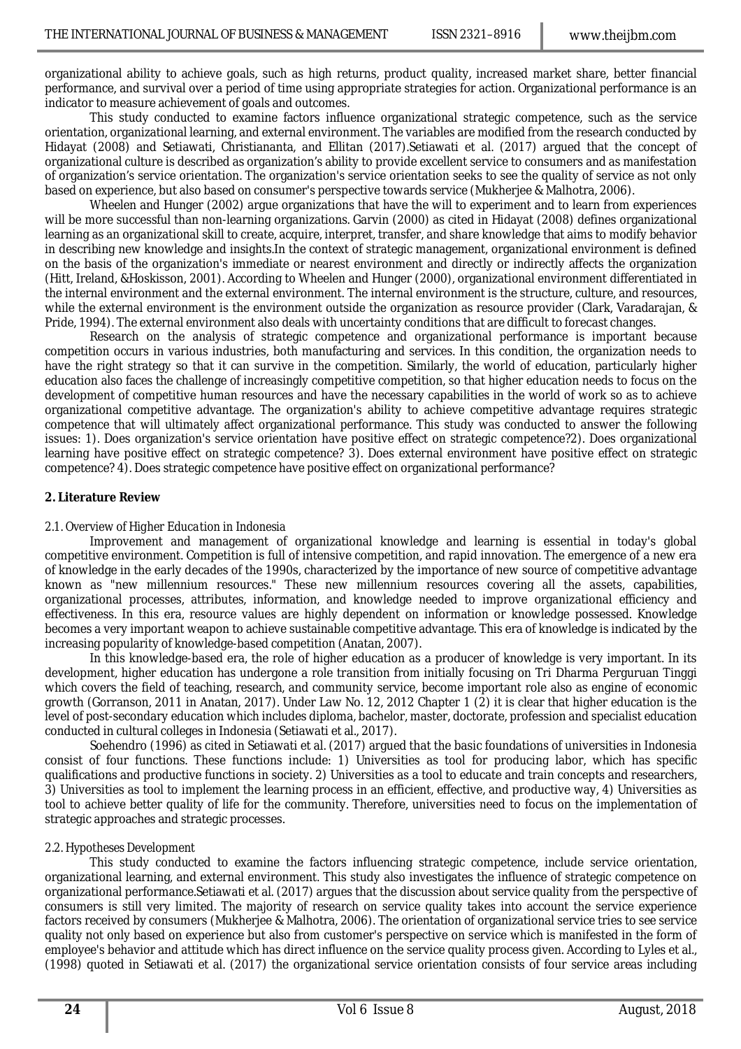organizational ability to achieve goals, such as high returns, product quality, increased market share, better financial performance, and survival over a period of time using appropriate strategies for action. Organizational performance is an indicator to measure achievement of goals and outcomes.

This study conducted to examine factors influence organizational strategic competence, such as the service orientation, organizational learning, and external environment. The variables are modified from the research conducted by Hidayat (2008) and Setiawati, Christiananta, and Ellitan (2017).Setiawati et al. (2017) argued that the concept of organizational culture is described as organization's ability to provide excellent service to consumers and as manifestation of organization's service orientation. The organization's service orientation seeks to see the quality of service as not only based on experience, but also based on consumer's perspective towards service (Mukherjee & Malhotra, 2006).

Wheelen and Hunger (2002) argue organizations that have the will to experiment and to learn from experiences will be more successful than non-learning organizations. Garvin (2000) as cited in Hidayat (2008) defines organizational learning as an organizational skill to create, acquire, interpret, transfer, and share knowledge that aims to modify behavior in describing new knowledge and insights.In the context of strategic management, organizational environment is defined on the basis of the organization's immediate or nearest environment and directly or indirectly affects the organization (Hitt, Ireland, &Hoskisson, 2001). According to Wheelen and Hunger (2000), organizational environment differentiated in the internal environment and the external environment. The internal environment is the structure, culture, and resources, while the external environment is the environment outside the organization as resource provider (Clark, Varadarajan, & Pride, 1994). The external environment also deals with uncertainty conditions that are difficult to forecast changes.

Research on the analysis of strategic competence and organizational performance is important because competition occurs in various industries, both manufacturing and services. In this condition, the organization needs to have the right strategy so that it can survive in the competition. Similarly, the world of education, particularly higher education also faces the challenge of increasingly competitive competition, so that higher education needs to focus on the development of competitive human resources and have the necessary capabilities in the world of work so as to achieve organizational competitive advantage. The organization's ability to achieve competitive advantage requires strategic competence that will ultimately affect organizational performance. This study was conducted to answer the following issues: 1). Does organization's service orientation have positive effect on strategic competence?2). Does organizational learning have positive effect on strategic competence? 3). Does external environment have positive effect on strategic competence? 4). Does strategic competence have positive effect on organizational performance?

#### **2. Literature Review**

### *2.1. Overview of Higher Education in Indonesia*

Improvement and management of organizational knowledge and learning is essential in today's global competitive environment. Competition is full of intensive competition, and rapid innovation. The emergence of a new era of knowledge in the early decades of the 1990s, characterized by the importance of new source of competitive advantage known as "new millennium resources." These new millennium resources covering all the assets, capabilities, organizational processes, attributes, information, and knowledge needed to improve organizational efficiency and effectiveness. In this era, resource values are highly dependent on information or knowledge possessed. Knowledge becomes a very important weapon to achieve sustainable competitive advantage. This era of knowledge is indicated by the increasing popularity of knowledge-based competition (Anatan, 2007).

In this knowledge-based era, the role of higher education as a producer of knowledge is very important. In its development, higher education has undergone a role transition from initially focusing on Tri Dharma Perguruan Tinggi which covers the field of teaching, research, and community service, become important role also as engine of economic growth (Gorranson, 2011 in Anatan, 2017). Under Law No. 12, 2012 Chapter 1 (2) it is clear that higher education is the level of post-secondary education which includes diploma, bachelor, master, doctorate, profession and specialist education conducted in cultural colleges in Indonesia (Setiawati et al., 2017).

Soehendro (1996) as cited in Setiawati et al. (2017) argued that the basic foundations of universities in Indonesia consist of four functions. These functions include: 1) Universities as tool for producing labor, which has specific qualifications and productive functions in society. 2) Universities as a tool to educate and train concepts and researchers, 3) Universities as tool to implement the learning process in an efficient, effective, and productive way, 4) Universities as tool to achieve better quality of life for the community. Therefore, universities need to focus on the implementation of strategic approaches and strategic processes.

### *2.2. Hypotheses Development*

This study conducted to examine the factors influencing strategic competence, include service orientation, organizational learning, and external environment. This study also investigates the influence of strategic competence on organizational performance.Setiawati et al. (2017) argues that the discussion about service quality from the perspective of consumers is still very limited. The majority of research on service quality takes into account the service experience factors received by consumers (Mukherjee & Malhotra, 2006). The orientation of organizational service tries to see service quality not only based on experience but also from customer's perspective on service which is manifested in the form of employee's behavior and attitude which has direct influence on the service quality process given. According to Lyles et al., (1998) quoted in Setiawati et al. (2017) the organizational service orientation consists of four service areas including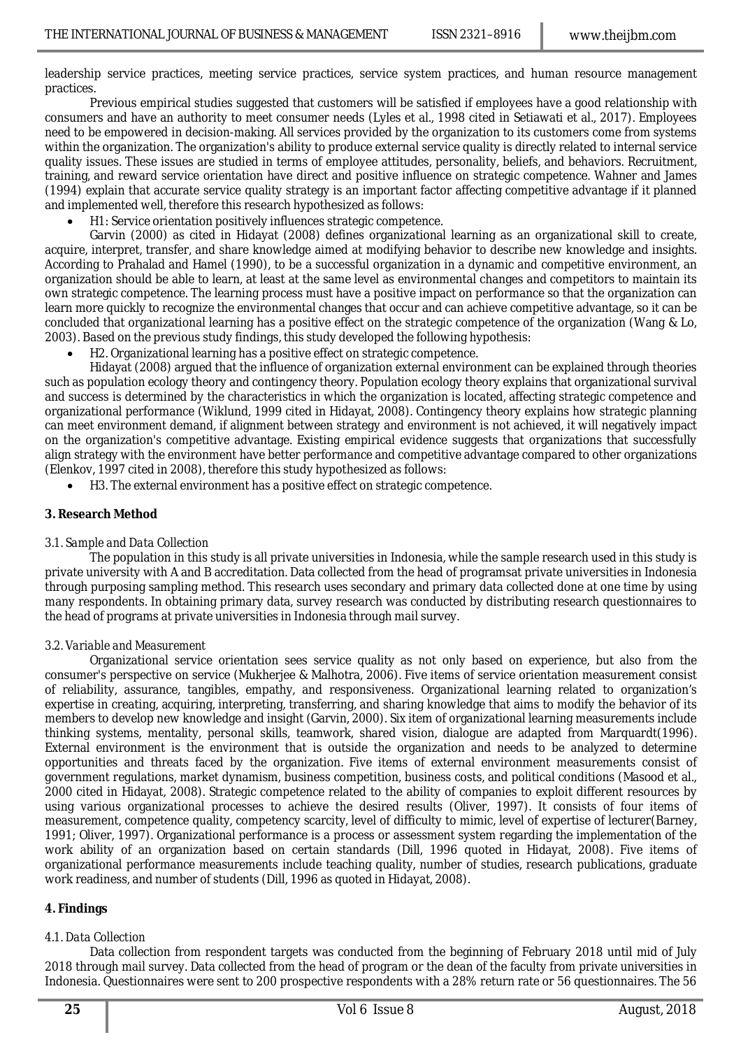leadership service practices, meeting service practices, service system practices, and human resource management practices.

Previous empirical studies suggested that customers will be satisfied if employees have a good relationship with consumers and have an authority to meet consumer needs (Lyles et al., 1998 cited in Setiawati et al., 2017). Employees need to be empowered in decision-making. All services provided by the organization to its customers come from systems within the organization. The organization's ability to produce external service quality is directly related to internal service quality issues. These issues are studied in terms of employee attitudes, personality, beliefs, and behaviors. Recruitment, training, and reward service orientation have direct and positive influence on strategic competence. Wahner and James (1994) explain that accurate service quality strategy is an important factor affecting competitive advantage if it planned and implemented well, therefore this research hypothesized as follows:

H1: Service orientation positively influences strategic competence.

Garvin (2000) as cited in Hidayat (2008) defines organizational learning as an organizational skill to create, acquire, interpret, transfer, and share knowledge aimed at modifying behavior to describe new knowledge and insights. According to Prahalad and Hamel (1990), to be a successful organization in a dynamic and competitive environment, an organization should be able to learn, at least at the same level as environmental changes and competitors to maintain its own strategic competence. The learning process must have a positive impact on performance so that the organization can learn more quickly to recognize the environmental changes that occur and can achieve competitive advantage, so it can be concluded that organizational learning has a positive effect on the strategic competence of the organization (Wang & Lo, 2003). Based on the previous study findings, this study developed the following hypothesis:

H2. Organizational learning has a positive effect on strategic competence.

Hidayat (2008) argued that the influence of organization external environment can be explained through theories such as population ecology theory and contingency theory. Population ecology theory explains that organizational survival and success is determined by the characteristics in which the organization is located, affecting strategic competence and organizational performance (Wiklund, 1999 cited in Hidayat, 2008). Contingency theory explains how strategic planning can meet environment demand, if alignment between strategy and environment is not achieved, it will negatively impact on the organization's competitive advantage. Existing empirical evidence suggests that organizations that successfully align strategy with the environment have better performance and competitive advantage compared to other organizations (Elenkov, 1997 cited in 2008), therefore this study hypothesized as follows:

H3. The external environment has a positive effect on strategic competence.

#### **3. Research Method**

#### *3.1. Sample and Data Collection*

The population in this study is all private universities in Indonesia, while the sample research used in this study is private university with A and B accreditation. Data collected from the head of programsat private universities in Indonesia through purposing sampling method. This research uses secondary and primary data collected done at one time by using many respondents. In obtaining primary data, survey research was conducted by distributing research questionnaires to the head of programs at private universities in Indonesia through mail survey.

#### *3.2. Variable and Measurement*

Organizational service orientation sees service quality as not only based on experience, but also from the consumer's perspective on service (Mukherjee & Malhotra, 2006). Five items of service orientation measurement consist of reliability, assurance, tangibles, empathy, and responsiveness. Organizational learning related to organization's expertise in creating, acquiring, interpreting, transferring, and sharing knowledge that aims to modify the behavior of its members to develop new knowledge and insight (Garvin, 2000). Six item of organizational learning measurements include thinking systems, mentality, personal skills, teamwork, shared vision, dialogue are adapted from Marquardt(1996). External environment is the environment that is outside the organization and needs to be analyzed to determine opportunities and threats faced by the organization. Five items of external environment measurements consist of government regulations, market dynamism, business competition, business costs, and political conditions (Masood et al., 2000 cited in Hidayat, 2008). Strategic competence related to the ability of companies to exploit different resources by using various organizational processes to achieve the desired results (Oliver, 1997). It consists of four items of measurement, competence quality, competency scarcity, level of difficulty to mimic, level of expertise of lecturer(Barney, 1991; Oliver, 1997). Organizational performance is a process or assessment system regarding the implementation of the work ability of an organization based on certain standards (Dill, 1996 quoted in Hidayat, 2008). Five items of organizational performance measurements include teaching quality, number of studies, research publications, graduate work readiness, and number of students (Dill, 1996 as quoted in Hidayat, 2008).

### **4. Findings**

### *4.1. Data Collection*

Data collection from respondent targets was conducted from the beginning of February 2018 until mid of July 2018 through mail survey. Data collected from the head of program or the dean of the faculty from private universities in Indonesia. Questionnaires were sent to 200 prospective respondents with a 28% return rate or 56 questionnaires. The 56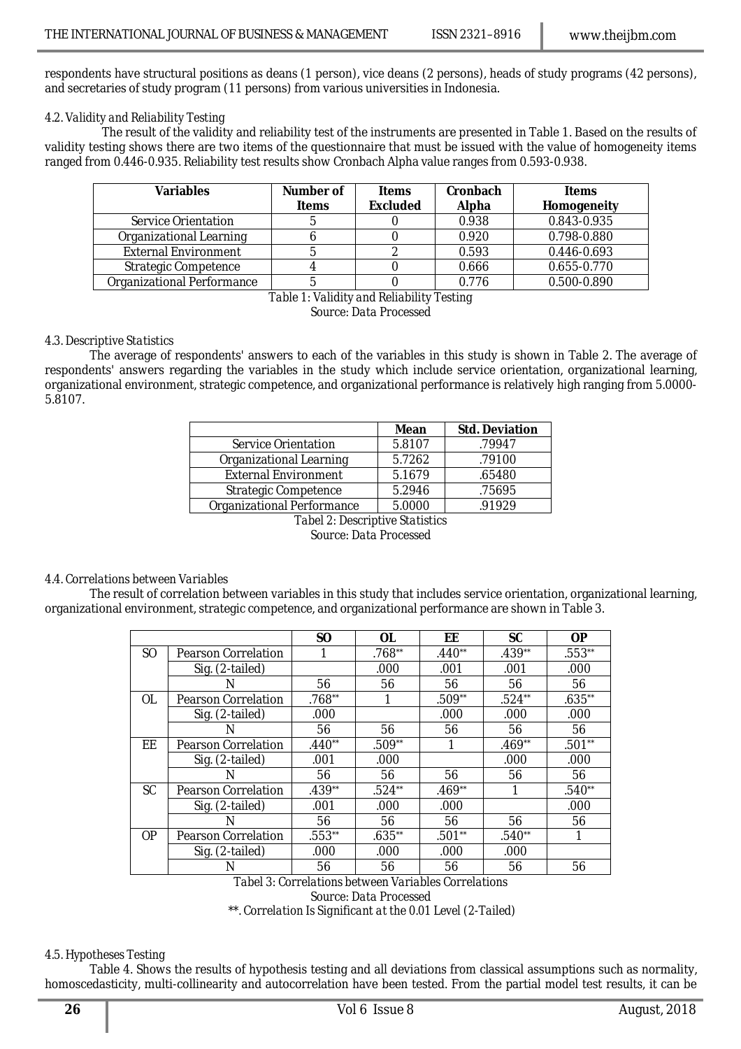respondents have structural positions as deans (1 person), vice deans (2 persons), heads of study programs (42 persons), and secretaries of study program (11 persons) from various universities in Indonesia.

### *4.2. Validity and Reliability Testing*

The result of the validity and reliability test of the instruments are presented in Table 1. Based on the results of validity testing shows there are two items of the questionnaire that must be issued with the value of homogeneity items ranged from 0.446-0.935. Reliability test results show Cronbach Alpha value ranges from 0.593-0.938.

| <b>Variables</b>            | Number of    | <b>Items</b>    | Cronbach | <b>Items</b> |
|-----------------------------|--------------|-----------------|----------|--------------|
|                             | <b>Items</b> | <b>Excluded</b> | Alpha    | Homogeneity  |
| Service Orientation         |              |                 | 0.938    | 0.843-0.935  |
| Organizational Learning     |              |                 | 0.920    | 0.798-0.880  |
| <b>External Environment</b> |              |                 | 0.593    | 0.446-0.693  |
| <b>Strategic Competence</b> |              |                 | 0.666    | 0.655-0.770  |
| Organizational Performance  |              |                 | 0.776    | 0.500-0.890  |

*Table 1: Validity and Reliability Testing Source: Data Processed*

#### *4.3. Descriptive Statistics*

The average of respondents' answers to each of the variables in this study is shown in Table 2. The average of respondents' answers regarding the variables in the study which include service orientation, organizational learning, organizational environment, strategic competence, and organizational performance is relatively high ranging from 5.0000- 5.8107.

|                                 | <b>Mean</b> | <b>Std. Deviation</b> |  |  |  |
|---------------------------------|-------------|-----------------------|--|--|--|
| Service Orientation             | 5.8107      | .79947                |  |  |  |
| Organizational Learning         | 5.7262      | .79100                |  |  |  |
| <b>External Environment</b>     | 5.1679      | .65480                |  |  |  |
| <b>Strategic Competence</b>     | 5.2946      | .75695                |  |  |  |
| Organizational Performance      | 5.0000      | .91929                |  |  |  |
| Tabel 2: Descriptive Statistics |             |                       |  |  |  |

*Source: Data Processed*

### *4.4. Correlations between Variables*

The result of correlation between variables in this study that includes service orientation, organizational learning, organizational environment, strategic competence, and organizational performance are shown in Table 3.

|                     | <b>SO</b> | <b>OL</b> | EE       | <b>SC</b>   | <b>OP</b> |
|---------------------|-----------|-----------|----------|-------------|-----------|
| Pearson Correlation |           | .768**    | $.440**$ | .439**      | .553**    |
| Sig. (2-tailed)     |           | .000      | .001     | .001        | .000      |
| N                   | 56        | 56        | 56       | 56          | 56        |
| Pearson Correlation | .768**    | 1         | .509**   | $.524**$    | $.635**$  |
| Sig. (2-tailed)     | .000      |           | .000     | .000        | .000      |
| N                   | 56        | 56        | 56       | 56          | 56        |
| Pearson Correlation | $.440**$  | $.509**$  | 1        | $.469**$    | .501**    |
| Sig. (2-tailed)     | .001      | .000      |          | .000        | .000      |
| N                   | 56        | 56        | 56       | 56          | 56        |
| Pearson Correlation | $.439**$  | $.524**$  | $.469**$ | 1           | $.540**$  |
| Sig. (2-tailed)     | .001      | .000      | .000     |             | .000      |
| N                   | 56        | 56        | 56       | 56          | 56        |
| Pearson Correlation | .553**    | $.635**$  | $.501**$ | $.540**$    | 1         |
| Sig. (2-tailed)     | .000      | .000      | .000     | .000        |           |
| N                   | 56        | 56        | 56       | 56          | 56        |
|                     | $-1122$   |           | $\cdots$ | .<br>$\sim$ | $\cdots$  |

*Tabel 3: Correlations between Variables Correlations Source: Data Processed \*\*. Correlation Is Significant at the 0.01 Level (2-Tailed)*

#### *4.5. Hypotheses Testing*

Table 4. Shows the results of hypothesis testing and all deviations from classical assumptions such as normality, homoscedasticity, multi-collinearity and autocorrelation have been tested. From the partial model test results, it can be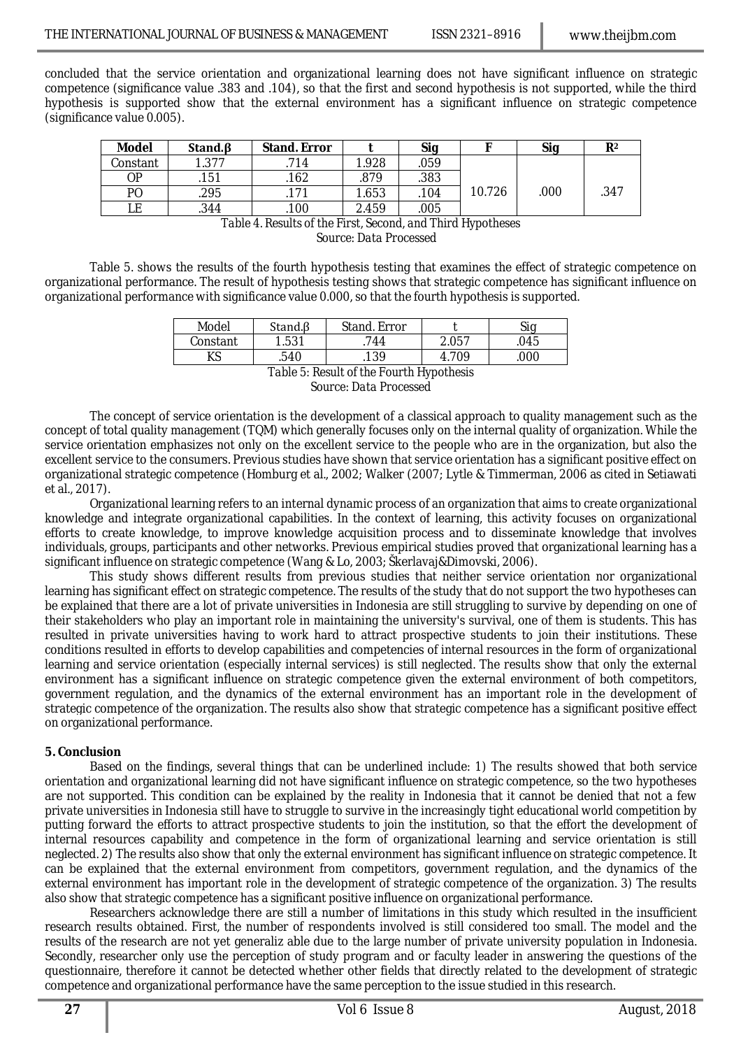concluded that the service orientation and organizational learning does not have significant influence on strategic competence (significance value .383 and .104), so that the first and second hypothesis is not supported, while the third hypothesis is supported show that the external environment has a significant influence on strategic competence (significance value 0.005).

| <b>Model</b>   | Stand. <sub>B</sub> | <b>Stand, Error</b> |       | Sig  |        | Sig  | R <sup>2</sup> |
|----------------|---------------------|---------------------|-------|------|--------|------|----------------|
| Constant       | .377                | 714                 | 1.928 | .059 |        |      |                |
| 0P             | .151                | .162                | .879  | .383 |        |      |                |
| P <sub>O</sub> | .295                |                     | 1.653 | .104 | 10.726 | .000 | .347           |
|                | .344                | .100                | 2.459 | .005 |        |      |                |

*Table 4. Results of the First, Second, and Third Hypotheses Source: Data Processed*

Table 5. shows the results of the fourth hypothesis testing that examines the effect of strategic competence on organizational performance. The result of hypothesis testing shows that strategic competence has significant influence on organizational performance with significance value 0.000, so that the fourth hypothesis is supported.

| Model    | Stand.ß         | Stand, Error                    |        | $\mathcal{L}$ in |
|----------|-----------------|---------------------------------|--------|------------------|
| Constant | 1.531           | 144                             | 2.057  | 045.             |
| ΚS       | .540            | 139                             | 4. 709 | 000.             |
|          | — <i>11</i> — n | $\cdots$ $\cdots$ $\cdots$<br>. | . .    |                  |

*Table 5: Result of the Fourth Hypothesis Source: Data Processed*

The concept of service orientation is the development of a classical approach to quality management such as the concept of total quality management (TQM) which generally focuses only on the internal quality of organization. While the service orientation emphasizes not only on the excellent service to the people who are in the organization, but also the excellent service to the consumers. Previous studies have shown that service orientation has a significant positive effect on organizational strategic competence (Homburg et al., 2002; Walker (2007; Lytle & Timmerman, 2006 as cited in Setiawati et al., 2017).

Organizational learning refers to an internal dynamic process of an organization that aims to create organizational knowledge and integrate organizational capabilities. In the context of learning, this activity focuses on organizational efforts to create knowledge, to improve knowledge acquisition process and to disseminate knowledge that involves individuals, groups, participants and other networks. Previous empirical studies proved that organizational learning has a significant influence on strategic competence (Wang & Lo, 2003; Škerlavaj&Dimovski, 2006).

This study shows different results from previous studies that neither service orientation nor organizational learning has significant effect on strategic competence. The results of the study that do not support the two hypotheses can be explained that there are a lot of private universities in Indonesia are still struggling to survive by depending on one of their stakeholders who play an important role in maintaining the university's survival, one of them is students. This has resulted in private universities having to work hard to attract prospective students to join their institutions. These conditions resulted in efforts to develop capabilities and competencies of internal resources in the form of organizational learning and service orientation (especially internal services) is still neglected. The results show that only the external environment has a significant influence on strategic competence given the external environment of both competitors, government regulation, and the dynamics of the external environment has an important role in the development of strategic competence of the organization. The results also show that strategic competence has a significant positive effect on organizational performance.

### **5. Conclusion**

Based on the findings, several things that can be underlined include: 1) The results showed that both service orientation and organizational learning did not have significant influence on strategic competence, so the two hypotheses are not supported. This condition can be explained by the reality in Indonesia that it cannot be denied that not a few private universities in Indonesia still have to struggle to survive in the increasingly tight educational world competition by putting forward the efforts to attract prospective students to join the institution, so that the effort the development of internal resources capability and competence in the form of organizational learning and service orientation is still neglected. 2) The results also show that only the external environment has significant influence on strategic competence. It can be explained that the external environment from competitors, government regulation, and the dynamics of the external environment has important role in the development of strategic competence of the organization. 3) The results also show that strategic competence has a significant positive influence on organizational performance.

Researchers acknowledge there are still a number of limitations in this study which resulted in the insufficient research results obtained. First, the number of respondents involved is still considered too small. The model and the results of the research are not yet generaliz able due to the large number of private university population in Indonesia. Secondly, researcher only use the perception of study program and or faculty leader in answering the questions of the questionnaire, therefore it cannot be detected whether other fields that directly related to the development of strategic competence and organizational performance have the same perception to the issue studied in this research.